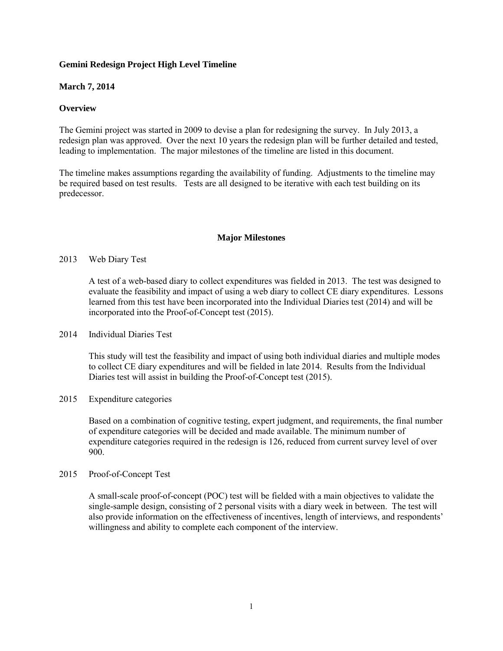# **Gemini Redesign Project High Level Timeline**

# **March 7, 2014**

# **Overview**

The Gemini project was started in 2009 to devise a plan for redesigning the survey. In July 2013, a redesign plan was approved. Over the next 10 years the redesign plan will be further detailed and tested, leading to implementation. The major milestones of the timeline are listed in this document.

The timeline makes assumptions regarding the availability of funding. Adjustments to the timeline may be required based on test results. Tests are all designed to be iterative with each test building on its predecessor.

# **Major Milestones**

# 2013 Web Diary Test

A test of a web-based diary to collect expenditures was fielded in 2013. The test was designed to evaluate the feasibility and impact of using a web diary to collect CE diary expenditures. Lessons learned from this test have been incorporated into the Individual Diaries test (2014) and will be incorporated into the Proof-of-Concept test (2015).

### 2014 Individual Diaries Test

This study will test the feasibility and impact of using both individual diaries and multiple modes to collect CE diary expenditures and will be fielded in late 2014. Results from the Individual Diaries test will assist in building the Proof-of-Concept test (2015).

## 2015 Expenditure categories

Based on a combination of cognitive testing, expert judgment, and requirements, the final number of expenditure categories will be decided and made available. The minimum number of expenditure categories required in the redesign is 126, reduced from current survey level of over 900.

### 2015 Proof-of-Concept Test

A small-scale proof-of-concept (POC) test will be fielded with a main objectives to validate the single-sample design, consisting of 2 personal visits with a diary week in between. The test will also provide information on the effectiveness of incentives, length of interviews, and respondents' willingness and ability to complete each component of the interview.